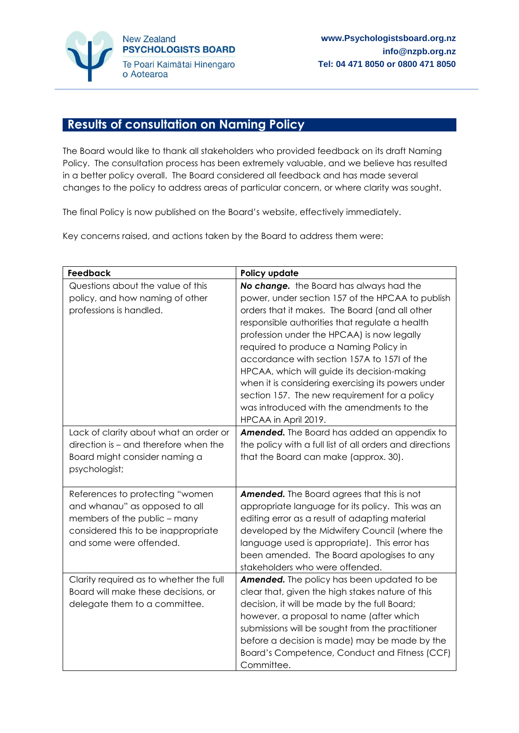

## **Results of consultation on Naming Policy**

The Board would like to thank all stakeholders who provided feedback on its draft Naming Policy. The consultation process has been extremely valuable, and we believe has resulted in a better policy overall. The Board considered all feedback and has made several changes to the policy to address areas of particular concern, or where clarity was sought.

The final Policy is now published on the Board's website, effectively immediately.

Key concerns raised, and actions taken by the Board to address them were:

| Feedback                                                                                                                                                           | Policy update                                                                                                                                                                                                                                                                                                                                                                                                                                                                                                                                                     |
|--------------------------------------------------------------------------------------------------------------------------------------------------------------------|-------------------------------------------------------------------------------------------------------------------------------------------------------------------------------------------------------------------------------------------------------------------------------------------------------------------------------------------------------------------------------------------------------------------------------------------------------------------------------------------------------------------------------------------------------------------|
| Questions about the value of this<br>policy, and how naming of other<br>professions is handled.                                                                    | No change. the Board has always had the<br>power, under section 157 of the HPCAA to publish<br>orders that it makes. The Board (and all other<br>responsible authorities that regulate a health<br>profession under the HPCAA) is now legally<br>required to produce a Naming Policy in<br>accordance with section 157A to 157I of the<br>HPCAA, which will guide its decision-making<br>when it is considering exercising its powers under<br>section 157. The new requirement for a policy<br>was introduced with the amendments to the<br>HPCAA in April 2019. |
| Lack of clarity about what an order or<br>direction is - and therefore when the<br>Board might consider naming a<br>psychologist;                                  | Amended. The Board has added an appendix to<br>the policy with a full list of all orders and directions<br>that the Board can make (approx. 30).                                                                                                                                                                                                                                                                                                                                                                                                                  |
| References to protecting "women<br>and whanau" as opposed to all<br>members of the public - many<br>considered this to be inappropriate<br>and some were offended. | <b>Amended.</b> The Board agrees that this is not<br>appropriate language for its policy. This was an<br>editing error as a result of adapting material<br>developed by the Midwifery Council (where the<br>language used is appropriate). This error has<br>been amended. The Board apologises to any<br>stakeholders who were offended.                                                                                                                                                                                                                         |
| Clarity required as to whether the full<br>Board will make these decisions, or<br>delegate them to a committee.                                                    | Amended. The policy has been updated to be<br>clear that, given the high stakes nature of this<br>decision, it will be made by the full Board;<br>however, a proposal to name (after which<br>submissions will be sought from the practitioner<br>before a decision is made) may be made by the<br>Board's Competence, Conduct and Fitness (CCF)<br>Committee.                                                                                                                                                                                                    |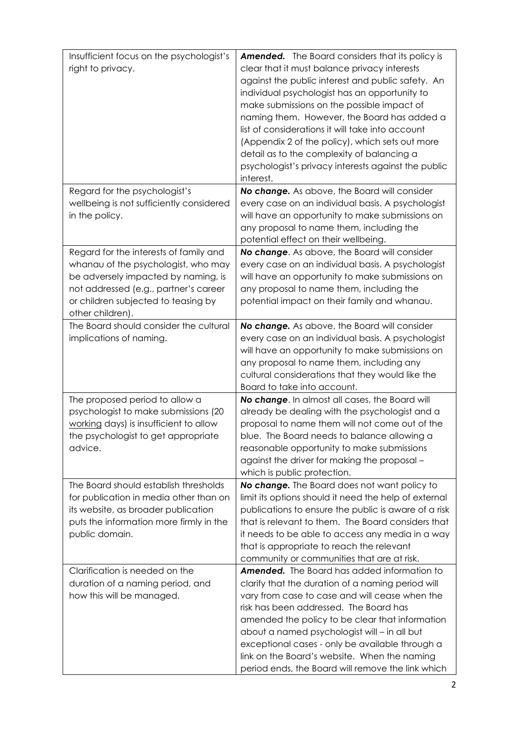| Insufficient focus on the psychologist's | <b>Amended.</b> The Board considers that its policy is                                       |
|------------------------------------------|----------------------------------------------------------------------------------------------|
| right to privacy.                        | clear that it must balance privacy interests                                                 |
|                                          | against the public interest and public safety. An                                            |
|                                          | individual psychologist has an opportunity to                                                |
|                                          | make submissions on the possible impact of                                                   |
|                                          | naming them. However, the Board has added a                                                  |
|                                          | list of considerations it will take into account                                             |
|                                          | (Appendix 2 of the policy), which sets out more                                              |
|                                          | detail as to the complexity of balancing a                                                   |
|                                          | psychologist's privacy interests against the public                                          |
|                                          | interest.                                                                                    |
| Regard for the psychologist's            | No change. As above, the Board will consider                                                 |
| wellbeing is not sufficiently considered | every case on an individual basis. A psychologist                                            |
| in the policy.                           | will have an opportunity to make submissions on                                              |
|                                          | any proposal to name them, including the                                                     |
|                                          | potential effect on their wellbeing.                                                         |
| Regard for the interests of family and   | No change. As above, the Board will consider                                                 |
| whanau of the psychologist, who may      | every case on an individual basis. A psychologist                                            |
| be adversely impacted by naming, is      | will have an opportunity to make submissions on                                              |
| not addressed (e.g., partner's career    | any proposal to name them, including the                                                     |
| or children subjected to teasing by      | potential impact on their family and whanau.                                                 |
| other children).                         |                                                                                              |
| The Board should consider the cultural   | No change. As above, the Board will consider                                                 |
| implications of naming.                  | every case on an individual basis. A psychologist                                            |
|                                          | will have an opportunity to make submissions on                                              |
|                                          | any proposal to name them, including any<br>cultural considerations that they would like the |
|                                          | Board to take into account.                                                                  |
| The proposed period to allow a           | No change. In almost all cases, the Board will                                               |
| psychologist to make submissions (20     | already be dealing with the psychologist and a                                               |
| working days) is insufficient to allow   | proposal to name them will not come out of the                                               |
| the psychologist to get appropriate      | blue. The Board needs to balance allowing a                                                  |
| advice.                                  | reasonable opportunity to make submissions                                                   |
|                                          | against the driver for making the proposal -                                                 |
|                                          | which is public protection.                                                                  |
| The Board should establish thresholds    | No change. The Board does not want policy to                                                 |
| for publication in media other than on   | limit its options should it need the help of external                                        |
| its website, as broader publication      | publications to ensure the public is aware of a risk                                         |
| puts the information more firmly in the  | that is relevant to them. The Board considers that                                           |
| public domain.                           | it needs to be able to access any media in a way                                             |
|                                          | that is appropriate to reach the relevant                                                    |
|                                          | community or communities that are at risk.                                                   |
| Clarification is needed on the           | <b>Amended.</b> The Board has added information to                                           |
| duration of a naming period, and         | clarify that the duration of a naming period will                                            |
| how this will be managed.                | vary from case to case and will cease when the                                               |
|                                          | risk has been addressed. The Board has                                                       |
|                                          | amended the policy to be clear that information                                              |
|                                          | about a named psychologist will - in all but                                                 |
|                                          | exceptional cases - only be available through a                                              |
|                                          | link on the Board's website. When the naming                                                 |
|                                          | period ends, the Board will remove the link which                                            |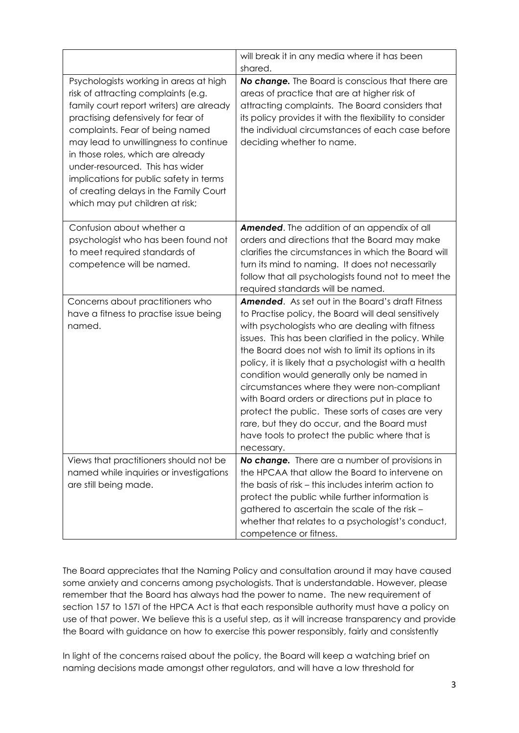|                                                                                                                                                                                                                                                                                                                                                                                                                                             | will break it in any media where it has been<br>shared.                                                                                                                                                                                                                                                                                                                                                                                                                                                                                                                                                                                                        |
|---------------------------------------------------------------------------------------------------------------------------------------------------------------------------------------------------------------------------------------------------------------------------------------------------------------------------------------------------------------------------------------------------------------------------------------------|----------------------------------------------------------------------------------------------------------------------------------------------------------------------------------------------------------------------------------------------------------------------------------------------------------------------------------------------------------------------------------------------------------------------------------------------------------------------------------------------------------------------------------------------------------------------------------------------------------------------------------------------------------------|
| Psychologists working in areas at high<br>risk of attracting complaints (e.g.<br>family court report writers) are already<br>practising defensively for fear of<br>complaints. Fear of being named<br>may lead to unwillingness to continue<br>in those roles, which are already<br>under-resourced. This has wider<br>implications for public safety in terms<br>of creating delays in the Family Court<br>which may put children at risk; | No change. The Board is conscious that there are<br>areas of practice that are at higher risk of<br>attracting complaints. The Board considers that<br>its policy provides it with the flexibility to consider<br>the individual circumstances of each case before<br>deciding whether to name.                                                                                                                                                                                                                                                                                                                                                                |
| Confusion about whether a<br>psychologist who has been found not<br>to meet required standards of<br>competence will be named.                                                                                                                                                                                                                                                                                                              | <b>Amended.</b> The addition of an appendix of all<br>orders and directions that the Board may make<br>clarifies the circumstances in which the Board will<br>turn its mind to naming. It does not necessarily<br>follow that all psychologists found not to meet the<br>required standards will be named.                                                                                                                                                                                                                                                                                                                                                     |
| Concerns about practitioners who<br>have a fitness to practise issue being<br>named.                                                                                                                                                                                                                                                                                                                                                        | <b>Amended.</b> As set out in the Board's draft Fitness<br>to Practise policy, the Board will deal sensitively<br>with psychologists who are dealing with fitness<br>issues. This has been clarified in the policy. While<br>the Board does not wish to limit its options in its<br>policy, it is likely that a psychologist with a health<br>condition would generally only be named in<br>circumstances where they were non-compliant<br>with Board orders or directions put in place to<br>protect the public. These sorts of cases are very<br>rare, but they do occur, and the Board must<br>have tools to protect the public where that is<br>necessary. |
| Views that practitioners should not be<br>named while inquiries or investigations<br>are still being made.                                                                                                                                                                                                                                                                                                                                  | No change. There are a number of provisions in<br>the HPCAA that allow the Board to intervene on<br>the basis of risk - this includes interim action to<br>protect the public while further information is<br>gathered to ascertain the scale of the risk -                                                                                                                                                                                                                                                                                                                                                                                                    |
|                                                                                                                                                                                                                                                                                                                                                                                                                                             | whether that relates to a psychologist's conduct,<br>competence or fitness.                                                                                                                                                                                                                                                                                                                                                                                                                                                                                                                                                                                    |

The Board appreciates that the Naming Policy and consultation around it may have caused some anxiety and concerns among psychologists. That is understandable. However, please remember that the Board has always had the power to name. The new requirement of section 157 to 157I of the HPCA Act is that each responsible authority must have a policy on use of that power. We believe this is a useful step, as it will increase transparency and provide the Board with guidance on how to exercise this power responsibly, fairly and consistently

In light of the concerns raised about the policy, the Board will keep a watching brief on naming decisions made amongst other regulators, and will have a low threshold for